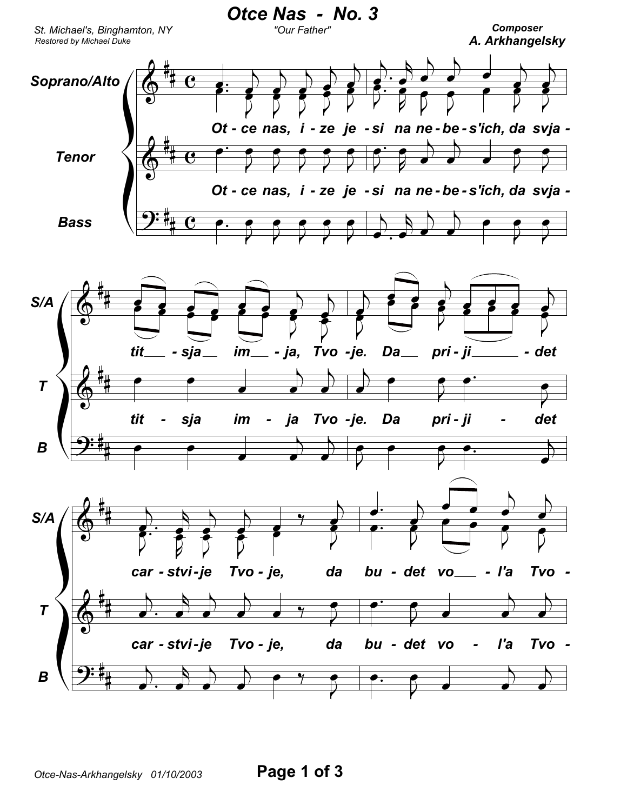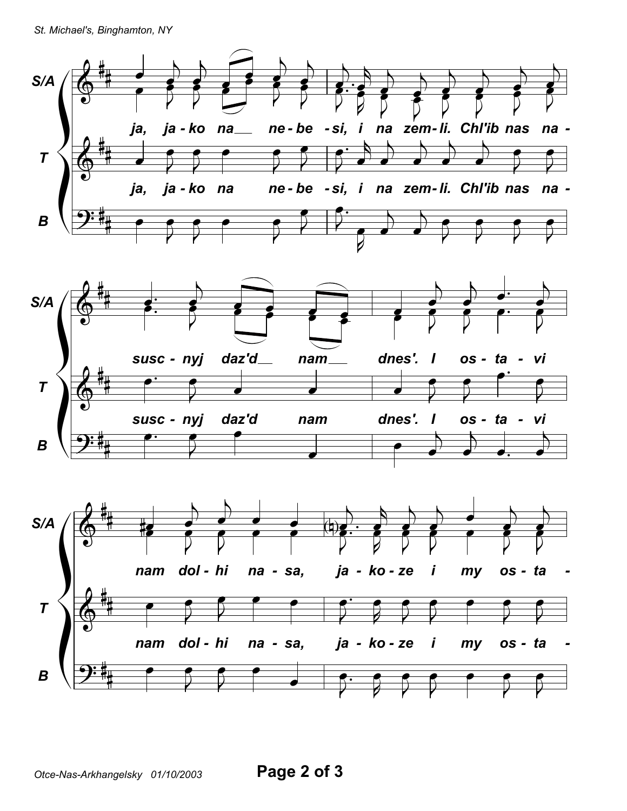St. Michael's, Binghamton, NY